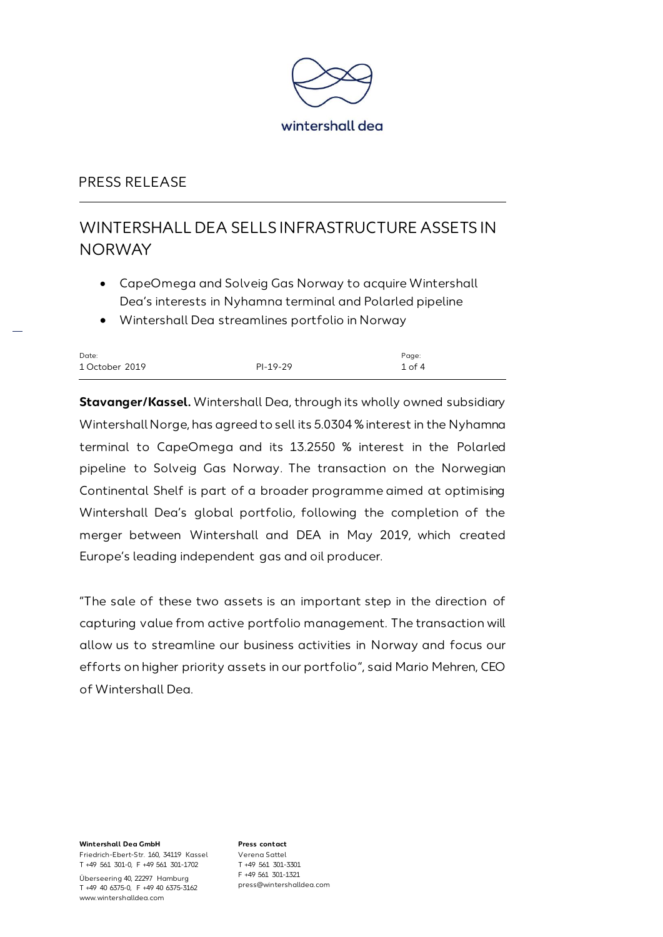

# WINTERSHALL DEA SELLS INFRASTRUCTURE ASSETS IN **NORWAY**

- CapeOmega and Solveig Gas Norway to acquire Wintershall Dea's interests in Nyhamna terminal and Polarled pipeline
- Wintershall Dea streamlines portfolio in Norway

| Date:          |          | Page:      |
|----------------|----------|------------|
| 1 October 2019 | PI-19-29 | $1$ of $4$ |

**Stavanger/Kassel.** Wintershall Dea, through its wholly owned subsidiary Wintershall Norge, has agreed to sell its 5.0304 %interest in the Nyhamna terminal to CapeOmega and its 13.2550 % interest in the Polarled pipeline to Solveig Gas Norway. The transaction on the Norwegian Continental Shelf is part of a broader programme aimed at optimising Wintershall Dea's global portfolio, following the completion of the merger between Wintershall and DEA in May 2019, which created Europe's leading independent gas and oil producer.

"The sale of these two assets is an important step in the direction of capturing value from active portfolio management. The transaction will allow us to streamline our business activities in Norway and focus our efforts on higher priority assets in our portfolio", said Mario Mehren, CEO of Wintershall Dea.

**Wintershall Dea GmbH** Friedrich-Ebert-Str. 160, 34119 Kassel T +49 561 301-0, F +49 561 301-1702

Überseering 40, 22297 Hamburg T +49 40 6375-0, F +49 40 6375-3162 www.wintershalldea.com

**Press contact** Verena Sattel T +49 561 301-3301 F +49 561 301-1321 press@wintershalldea.com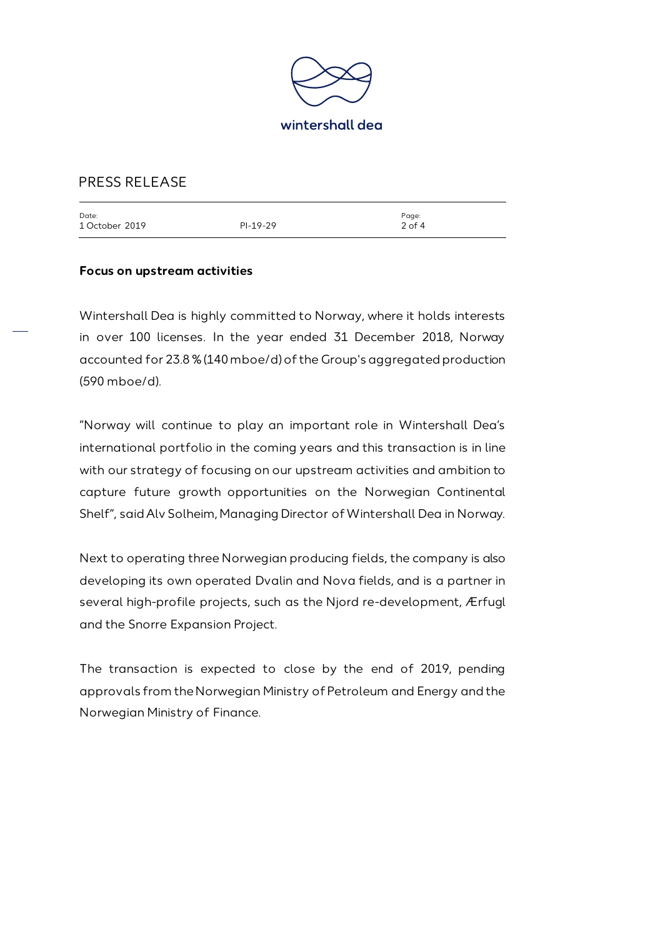

| Date:          |            | Page:    |
|----------------|------------|----------|
| 1 October 2019 | $PI-19-29$ | $2$ of 4 |
|                |            |          |

#### **Focus on upstream activities**

Wintershall Dea is highly committed to Norway, where it holds interests in over 100 licenses. In the year ended 31 December 2018, Norway accounted for 23.8 %(140 mboe/d) of the Group's aggregated production (590 mboe/d).

"Norway will continue to play an important role in Wintershall Dea's international portfolio in the coming years and this transaction is in line with our strategy of focusing on our upstream activities and ambition to capture future growth opportunities on the Norwegian Continental Shelf", said Alv Solheim, Managing Director of Wintershall Dea in Norway.

Next to operating three Norwegian producing fields, the company is also developing its own operated Dvalin and Nova fields, and is a partner in several high-profile projects, such as the Njord re-development, Ærfugl and the Snorre Expansion Project.

The transaction is expected to close by the end of 2019, pending approvals from the Norwegian Ministry of Petroleum and Energy and the Norwegian Ministry of Finance.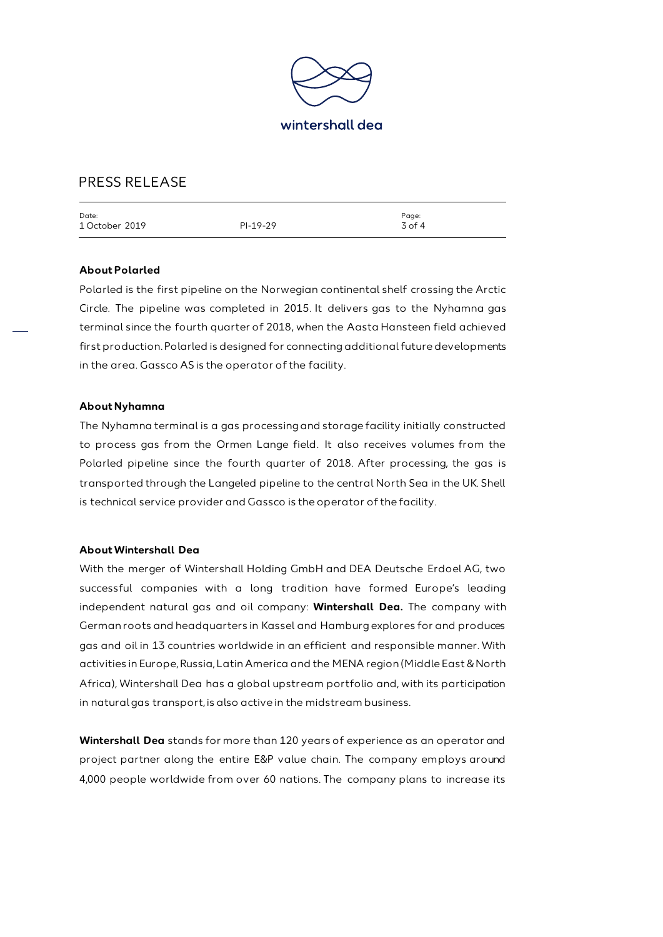

| Date:          |            | Page:    |
|----------------|------------|----------|
| 1 October 2019 | $PI-19-29$ | $3$ of 4 |
|                |            |          |

#### **About Polarled**

Polarled is the first pipeline on the Norwegian continental shelf crossing the Arctic Circle. The pipeline was completed in 2015. It delivers gas to the Nyhamna gas terminal since the fourth quarter of 2018, when the Aasta Hansteen field achieved first production. Polarled is designed for connecting additional future developments in the area. Gassco AS is the operator of the facility.

#### **About Nyhamna**

The Nyhamna terminal is a gas processing and storage facility initially constructed to process gas from the Ormen Lange field. It also receives volumes from the Polarled pipeline since the fourth quarter of 2018. After processing, the gas is transported through the Langeled pipeline to the central North Sea in the UK. Shell is technical service provider and Gassco is the operator of the facility.

#### **About Wintershall Dea**

With the merger of Wintershall Holding GmbH and DEA Deutsche Erdoel AG, two successful companies with a long tradition have formed Europe's leading independent natural gas and oil company: **Wintershall Dea.** The company with German roots and headquarters in Kassel and Hamburg explores for and produces gas and oil in 13 countries worldwide in an efficient and responsible manner. With activities in Europe, Russia, Latin America and the MENA region (Middle East & North Africa), Wintershall Dea has a global upstream portfolio and, with its participation in natural gas transport, is also active in the midstream business.

**Wintershall Dea** stands for more than 120 years of experience as an operator and project partner along the entire E&P value chain. The company employs around 4,000 people worldwide from over 60 nations. The company plans to increase its